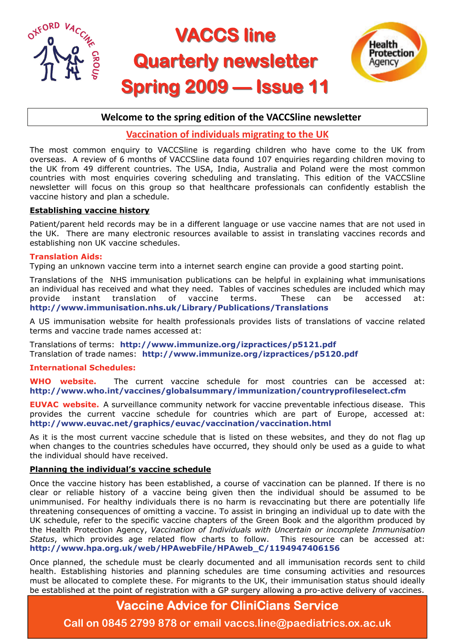

### **Welcome to the spring edition of the VACCSline newsletter**

### **Vaccination of individuals migrating to the UK**

The most common enquiry to VACCSline is regarding children who have come to the UK from overseas. A review of 6 months of VACCSline data found 107 enquiries regarding children moving to the UK from 49 different countries. The USA, India, Australia and Poland were the most common countries with most enquiries covering scheduling and translating. This edition of the VACCSline newsletter will focus on this group so that healthcare professionals can confidently establish the vaccine history and plan a schedule.

#### **Establishing vaccine history**

Patient/parent held records may be in a different language or use vaccine names that are not used in the UK. There are many electronic resources available to assist in translating vaccines records and establishing non UK vaccine schedules.

#### **Translation Aids:**

Typing an unknown vaccine term into a internet search engine can provide a good starting point.

Translations of the NHS immunisation publications can be helpful in explaining what immunisations an individual has received and what they need. Tables of vaccines schedules are included which may provide instant translation of vaccine terms. These can be accessed at: **http://www.immunisation.nhs.uk/Library/Publications/Translations**

A US immunisation website for health professionals provides lists of translations of vaccine related terms and vaccine trade names accessed at:

Translations of terms: **http://www.immunize.org/izpractices/p5121.pdf**  Translation of trade names: **http://www.immunize.org/izpractices/p5120.pdf** 

#### **International Schedules:**

**WHO website.** The current vaccine schedule for most countries can be accessed at: **http://www.who.int/vaccines/globalsummary/immunization/countryprofileselect.cfm** 

**EUVAC website.** A surveillance community network for vaccine preventable infectious disease. This provides the current vaccine schedule for countries which are part of Europe, accessed at: **http://www.euvac.net/graphics/euvac/vaccination/vaccination.html**

As it is the most current vaccine schedule that is listed on these websites, and they do not flag up when changes to the countries schedules have occurred, they should only be used as a guide to what the individual should have received.

#### **Planning the individual's vaccine schedule**

Once the vaccine history has been established, a course of vaccination can be planned. If there is no clear or reliable history of a vaccine being given then the individual should be assumed to be unimmunised. For healthy individuals there is no harm is revaccinating but there are potentially life threatening consequences of omitting a vaccine. To assist in bringing an individual up to date with the UK schedule, refer to the specific vaccine chapters of the Green Book and the algorithm produced by the Health Protection Agency, *Vaccination of Individuals with Uncertain or incomplete Immunisation Status*, which provides age related flow charts to follow. This resource can be accessed at: **http://www.hpa.org.uk/web/HPAwebFile/HPAweb\_C/1194947406156**

Once planned, the schedule must be clearly documented and all immunisation records sent to child health. Establishing histories and planning schedules are time consuming activities and resources must be allocated to complete these. For migrants to the UK, their immunisation status should ideally be established at the point of registration with a GP surgery allowing a pro-active delivery of vaccines.

## **Vaccine Advice for CliniCians Service**

**Call on 0845 2799 878 or email vaccs.line@paediatrics.ox.ac.uk**